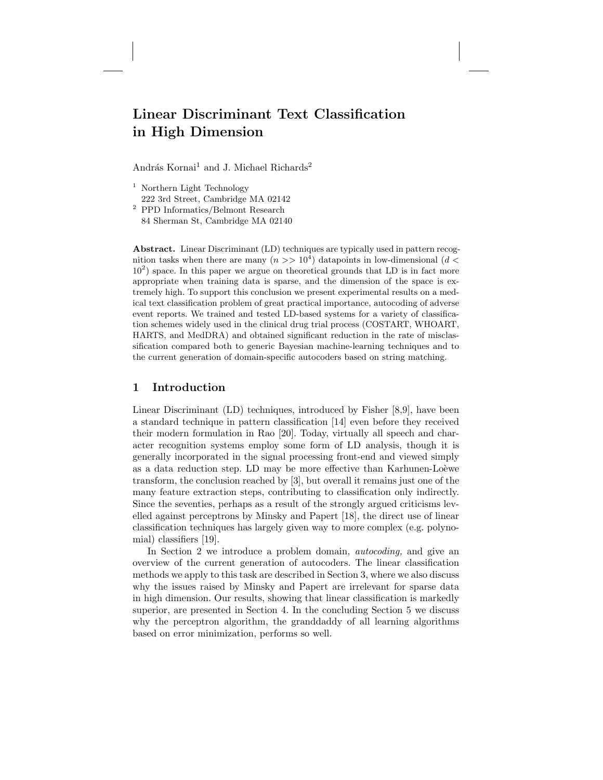# Linear Discriminant Text Classification in High Dimension

András Kornai<sup>1</sup> and J. Michael Richards<sup>2</sup>

- <sup>1</sup> Northern Light Technology 222 3rd Street, Cambridge MA 02142
- <sup>2</sup> PPD Informatics/Belmont Research 84 Sherman St, Cambridge MA 02140

Abstract. Linear Discriminant (LD) techniques are typically used in pattern recognition tasks when there are many  $(n \gg 10^4)$  datapoints in low-dimensional  $(d <$  $10<sup>2</sup>$ ) space. In this paper we argue on theoretical grounds that LD is in fact more appropriate when training data is sparse, and the dimension of the space is extremely high. To support this conclusion we present experimental results on a medical text classification problem of great practical importance, autocoding of adverse event reports. We trained and tested LD-based systems for a variety of classification schemes widely used in the clinical drug trial process (COSTART, WHOART, HARTS, and MedDRA) and obtained significant reduction in the rate of misclassification compared both to generic Bayesian machine-learning techniques and to the current generation of domain-specific autocoders based on string matching.

# 1 Introduction

Linear Discriminant (LD) techniques, introduced by Fisher [8,9], have been a standard technique in pattern classification [14] even before they received their modern formulation in Rao [20]. Today, virtually all speech and character recognition systems employ some form of LD analysis, though it is generally incorporated in the signal processing front-end and viewed simply as a data reduction step. LD may be more effective than Karhunen-Loèwe transform, the conclusion reached by [3], but overall it remains just one of the many feature extraction steps, contributing to classification only indirectly. Since the seventies, perhaps as a result of the strongly argued criticisms levelled against perceptrons by Minsky and Papert [18], the direct use of linear classification techniques has largely given way to more complex (e.g. polynomial) classifiers [19].

In Section 2 we introduce a problem domain, *autocoding*, and give an overview of the current generation of autocoders. The linear classification methods we apply to this task are described in Section 3, where we also discuss why the issues raised by Minsky and Papert are irrelevant for sparse data in high dimension. Our results, showing that linear classification is markedly superior, are presented in Section 4. In the concluding Section 5 we discuss why the perceptron algorithm, the granddaddy of all learning algorithms based on error minimization, performs so well.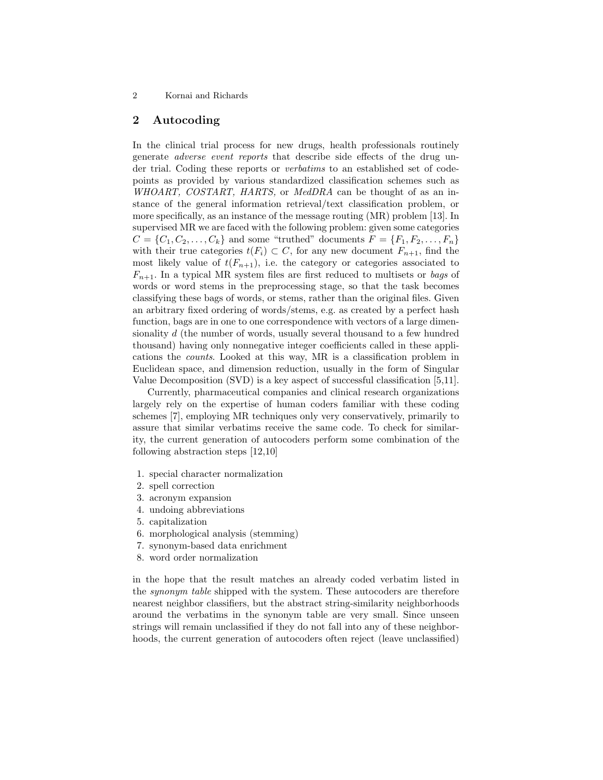# 2 Autocoding

In the clinical trial process for new drugs, health professionals routinely generate adverse event reports that describe side effects of the drug under trial. Coding these reports or verbatims to an established set of codepoints as provided by various standardized classification schemes such as WHOART, COSTART, HARTS, or MedDRA can be thought of as an instance of the general information retrieval/text classification problem, or more specifically, as an instance of the message routing (MR) problem [13]. In supervised MR we are faced with the following problem: given some categories  $C = \{C_1, C_2, \ldots, C_k\}$  and some "truthed" documents  $F = \{F_1, F_2, \ldots, F_n\}$ with their true categories  $t(F_i) \subset C$ , for any new document  $F_{n+1}$ , find the most likely value of  $t(F_{n+1})$ , i.e. the category or categories associated to  $F_{n+1}$ . In a typical MR system files are first reduced to multisets or bags of words or word stems in the preprocessing stage, so that the task becomes classifying these bags of words, or stems, rather than the original files. Given an arbitrary fixed ordering of words/stems, e.g. as created by a perfect hash function, bags are in one to one correspondence with vectors of a large dimensionality d (the number of words, usually several thousand to a few hundred thousand) having only nonnegative integer coefficients called in these applications the counts. Looked at this way, MR is a classification problem in Euclidean space, and dimension reduction, usually in the form of Singular Value Decomposition (SVD) is a key aspect of successful classification [5,11].

Currently, pharmaceutical companies and clinical research organizations largely rely on the expertise of human coders familiar with these coding schemes [7], employing MR techniques only very conservatively, primarily to assure that similar verbatims receive the same code. To check for similarity, the current generation of autocoders perform some combination of the following abstraction steps [12,10]

- 1. special character normalization
- 2. spell correction
- 3. acronym expansion
- 4. undoing abbreviations
- 5. capitalization
- 6. morphological analysis (stemming)
- 7. synonym-based data enrichment
- 8. word order normalization

in the hope that the result matches an already coded verbatim listed in the synonym table shipped with the system. These autocoders are therefore nearest neighbor classifiers, but the abstract string-similarity neighborhoods around the verbatims in the synonym table are very small. Since unseen strings will remain unclassified if they do not fall into any of these neighborhoods, the current generation of autocoders often reject (leave unclassified)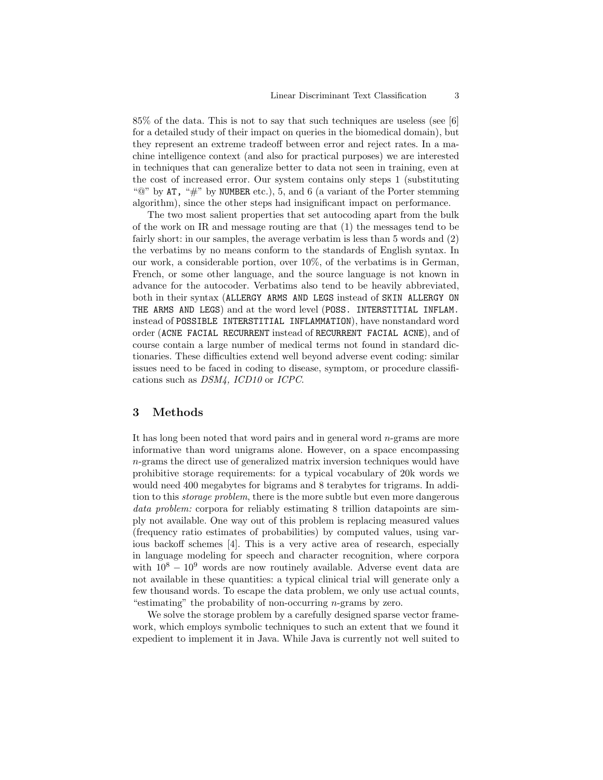85% of the data. This is not to say that such techniques are useless (see [6] for a detailed study of their impact on queries in the biomedical domain), but they represent an extreme tradeoff between error and reject rates. In a machine intelligence context (and also for practical purposes) we are interested in techniques that can generalize better to data not seen in training, even at the cost of increased error. Our system contains only steps 1 (substituting " $\mathbb{Q}$ " by AT, " $\#$ " by NUMBER etc.), 5, and 6 (a variant of the Porter stemming algorithm), since the other steps had insignificant impact on performance.

The two most salient properties that set autocoding apart from the bulk of the work on IR and message routing are that (1) the messages tend to be fairly short: in our samples, the average verbatim is less than 5 words and (2) the verbatims by no means conform to the standards of English syntax. In our work, a considerable portion, over 10%, of the verbatims is in German, French, or some other language, and the source language is not known in advance for the autocoder. Verbatims also tend to be heavily abbreviated, both in their syntax (ALLERGY ARMS AND LEGS instead of SKIN ALLERGY ON THE ARMS AND LEGS) and at the word level (POSS. INTERSTITIAL INFLAM. instead of POSSIBLE INTERSTITIAL INFLAMMATION), have nonstandard word order (ACNE FACIAL RECURRENT instead of RECURRENT FACIAL ACNE), and of course contain a large number of medical terms not found in standard dictionaries. These difficulties extend well beyond adverse event coding: similar issues need to be faced in coding to disease, symptom, or procedure classifications such as DSM4, ICD10 or ICPC.

# 3 Methods

It has long been noted that word pairs and in general word  $n$ -grams are more informative than word unigrams alone. However, on a space encompassing  $n$ -grams the direct use of generalized matrix inversion techniques would have prohibitive storage requirements: for a typical vocabulary of 20k words we would need 400 megabytes for bigrams and 8 terabytes for trigrams. In addition to this *storage problem*, there is the more subtle but even more dangerous data problem: corpora for reliably estimating 8 trillion datapoints are simply not available. One way out of this problem is replacing measured values (frequency ratio estimates of probabilities) by computed values, using various backoff schemes [4]. This is a very active area of research, especially in language modeling for speech and character recognition, where corpora with  $10^8 - 10^9$  words are now routinely available. Adverse event data are not available in these quantities: a typical clinical trial will generate only a few thousand words. To escape the data problem, we only use actual counts, "estimating" the probability of non-occurring n-grams by zero.

We solve the storage problem by a carefully designed sparse vector framework, which employs symbolic techniques to such an extent that we found it expedient to implement it in Java. While Java is currently not well suited to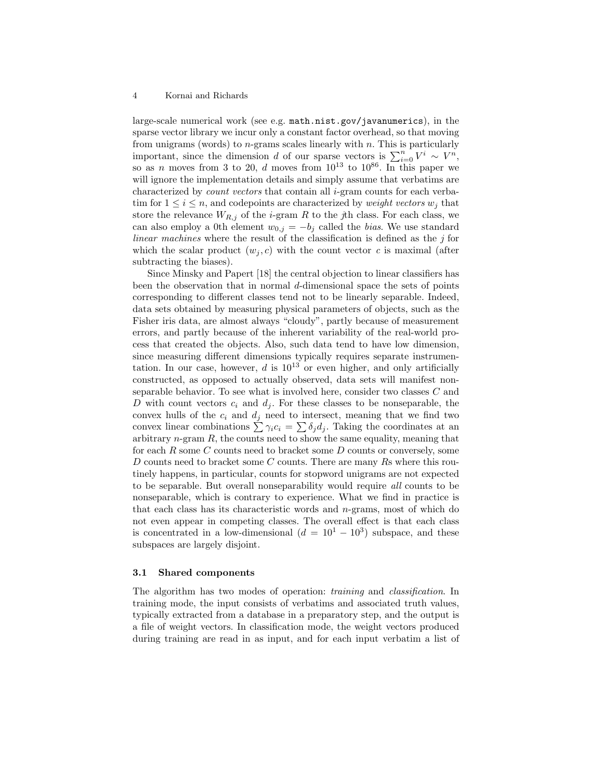large-scale numerical work (see e.g. math.nist.gov/javanumerics), in the sparse vector library we incur only a constant factor overhead, so that moving from unigrams (words) to  $n$ -grams scales linearly with  $n$ . This is particularly important, since the dimension d of our sparse vectors is  $\sum_{i=0}^{n} V^i \sim V^n$ , so as n moves from 3 to 20, d moves from  $10^{13}$  to  $10^{86}$ . In this paper we will ignore the implementation details and simply assume that verbatims are characterized by *count vectors* that contain all  $i$ -gram counts for each verbatim for  $1 \leq i \leq n$ , and codepoints are characterized by *weight vectors*  $w_i$  that store the relevance  $W_{R,j}$  of the *i*-gram R to the jth class. For each class, we can also employ a 0th element  $w_{0,j} = -b_j$  called the bias. We use standard linear machines where the result of the classification is defined as the  $j$  for which the scalar product  $(w_i, c)$  with the count vector c is maximal (after subtracting the biases).

Since Minsky and Papert [18] the central objection to linear classifiers has been the observation that in normal  $d$ -dimensional space the sets of points corresponding to different classes tend not to be linearly separable. Indeed, data sets obtained by measuring physical parameters of objects, such as the Fisher iris data, are almost always "cloudy", partly because of measurement errors, and partly because of the inherent variability of the real-world process that created the objects. Also, such data tend to have low dimension, since measuring different dimensions typically requires separate instrumentation. In our case, however,  $d$  is  $10^{13}$  or even higher, and only artificially constructed, as opposed to actually observed, data sets will manifest nonseparable behavior. To see what is involved here, consider two classes C and D with count vectors  $c_i$  and  $d_j$ . For these classes to be nonseparable, the convex hulls of the  $c_i$  and  $d_j$  need to intersect, meaning that we find two convex linear combinations  $\sum \gamma_i c_i = \sum \delta_j d_j$ . Taking the coordinates at an arbitrary  $n$ -gram  $R$ , the counts need to show the same equality, meaning that for each R some C counts need to bracket some D counts or conversely, some D counts need to bracket some C counts. There are many Rs where this routinely happens, in particular, counts for stopword unigrams are not expected to be separable. But overall nonseparability would require all counts to be nonseparable, which is contrary to experience. What we find in practice is that each class has its characteristic words and n-grams, most of which do not even appear in competing classes. The overall effect is that each class is concentrated in a low-dimensional  $(d = 10<sup>1</sup> - 10<sup>3</sup>)$  subspace, and these subspaces are largely disjoint.

## 3.1 Shared components

The algorithm has two modes of operation: training and classification. In training mode, the input consists of verbatims and associated truth values, typically extracted from a database in a preparatory step, and the output is a file of weight vectors. In classification mode, the weight vectors produced during training are read in as input, and for each input verbatim a list of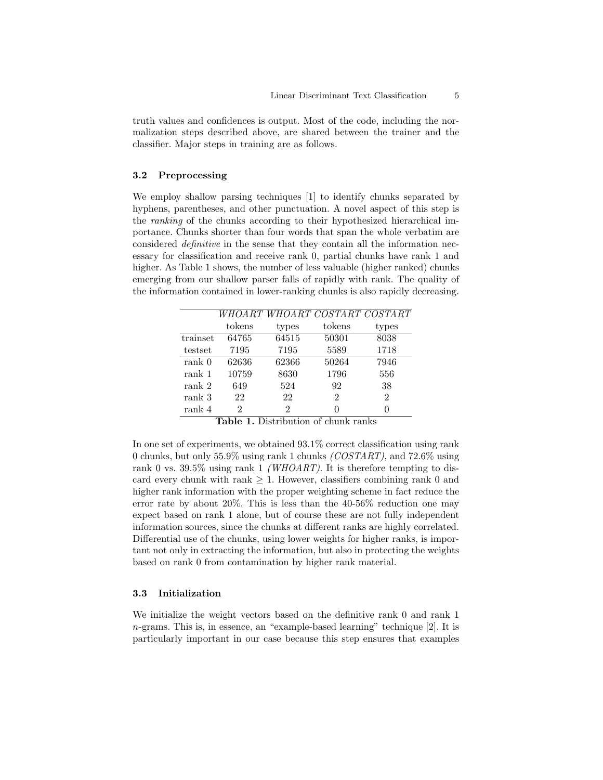truth values and confidences is output. Most of the code, including the normalization steps described above, are shared between the trainer and the classifier. Major steps in training are as follows.

## 3.2 Preprocessing

We employ shallow parsing techniques [1] to identify chunks separated by hyphens, parentheses, and other punctuation. A novel aspect of this step is the ranking of the chunks according to their hypothesized hierarchical importance. Chunks shorter than four words that span the whole verbatim are considered definitive in the sense that they contain all the information necessary for classification and receive rank 0, partial chunks have rank 1 and higher. As Table 1 shows, the number of less valuable (higher ranked) chunks emerging from our shallow parser falls of rapidly with rank. The quality of the information contained in lower-ranking chunks is also rapidly decreasing.

|                   |        |       |                | WHOART WHOART COSTART COSTART |
|-------------------|--------|-------|----------------|-------------------------------|
|                   | tokens | types | tokens         | types                         |
| trainset          | 64765  | 64515 | 50301          | 8038                          |
| testset           | 7195   | 7195  | 5589           | 1718                          |
| rank <sub>0</sub> | 62636  | 62366 | 50264          | 7946                          |
| rank 1            | 10759  | 8630  | 1796           | 556                           |
| rank 2            | 649    | 524   | 92             | 38                            |
| rank 3            | 22     | 22    | $\mathfrak{D}$ | $\mathfrak{D}$                |
| rank 4            | 2      | 2     | $\mathbf{0}$   |                               |

Table 1. Distribution of chunk ranks

In one set of experiments, we obtained 93.1% correct classification using rank 0 chunks, but only 55.9% using rank 1 chunks (COSTART), and 72.6% using rank 0 vs. 39.5% using rank 1 *(WHOART)*. It is therefore tempting to discard every chunk with rank  $\geq 1$ . However, classifiers combining rank 0 and higher rank information with the proper weighting scheme in fact reduce the error rate by about 20%. This is less than the 40-56% reduction one may expect based on rank 1 alone, but of course these are not fully independent information sources, since the chunks at different ranks are highly correlated. Differential use of the chunks, using lower weights for higher ranks, is important not only in extracting the information, but also in protecting the weights based on rank 0 from contamination by higher rank material.

## 3.3 Initialization

We initialize the weight vectors based on the definitive rank 0 and rank 1 n-grams. This is, in essence, an "example-based learning" technique [2]. It is particularly important in our case because this step ensures that examples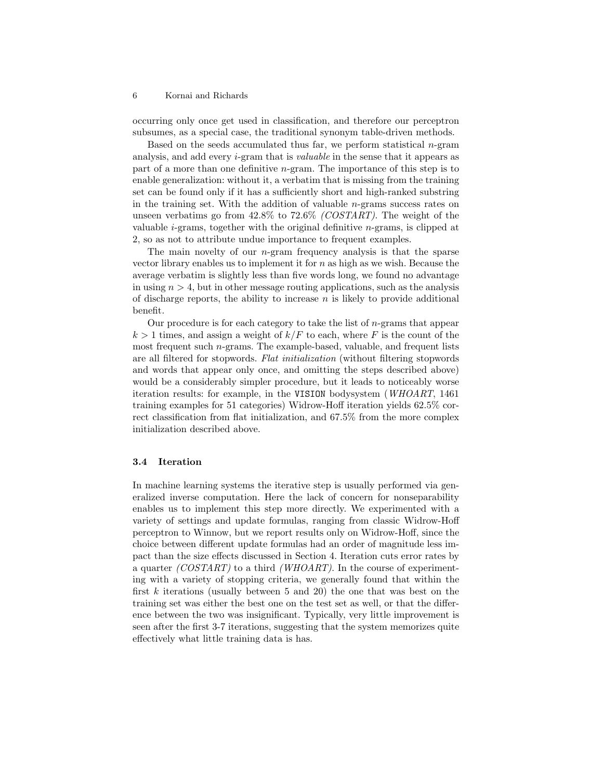occurring only once get used in classification, and therefore our perceptron subsumes, as a special case, the traditional synonym table-driven methods.

Based on the seeds accumulated thus far, we perform statistical  $n$ -gram analysis, and add every *i*-gram that is *valuable* in the sense that it appears as part of a more than one definitive n-gram. The importance of this step is to enable generalization: without it, a verbatim that is missing from the training set can be found only if it has a sufficiently short and high-ranked substring in the training set. With the addition of valuable n-grams success rates on unseen verbatims go from  $42.8\%$  to  $72.6\%$  (COSTART). The weight of the valuable  $i$ -grams, together with the original definitive  $n$ -grams, is clipped at 2, so as not to attribute undue importance to frequent examples.

The main novelty of our  $n$ -gram frequency analysis is that the sparse vector library enables us to implement it for  $n$  as high as we wish. Because the average verbatim is slightly less than five words long, we found no advantage in using  $n > 4$ , but in other message routing applications, such as the analysis of discharge reports, the ability to increase  $n$  is likely to provide additional benefit.

Our procedure is for each category to take the list of  $n$ -grams that appear  $k > 1$  times, and assign a weight of  $k/F$  to each, where F is the count of the most frequent such n-grams. The example-based, valuable, and frequent lists are all filtered for stopwords. Flat initialization (without filtering stopwords and words that appear only once, and omitting the steps described above) would be a considerably simpler procedure, but it leads to noticeably worse iteration results: for example, in the VISION bodysystem (WHOART, 1461 training examples for 51 categories) Widrow-Hoff iteration yields 62.5% correct classification from flat initialization, and 67.5% from the more complex initialization described above.

#### 3.4 Iteration

In machine learning systems the iterative step is usually performed via generalized inverse computation. Here the lack of concern for nonseparability enables us to implement this step more directly. We experimented with a variety of settings and update formulas, ranging from classic Widrow-Hoff perceptron to Winnow, but we report results only on Widrow-Hoff, since the choice between different update formulas had an order of magnitude less impact than the size effects discussed in Section 4. Iteration cuts error rates by a quarter  $(COSTART)$  to a third (WHOART). In the course of experimenting with a variety of stopping criteria, we generally found that within the first  $k$  iterations (usually between 5 and 20) the one that was best on the training set was either the best one on the test set as well, or that the difference between the two was insignificant. Typically, very little improvement is seen after the first 3-7 iterations, suggesting that the system memorizes quite effectively what little training data is has.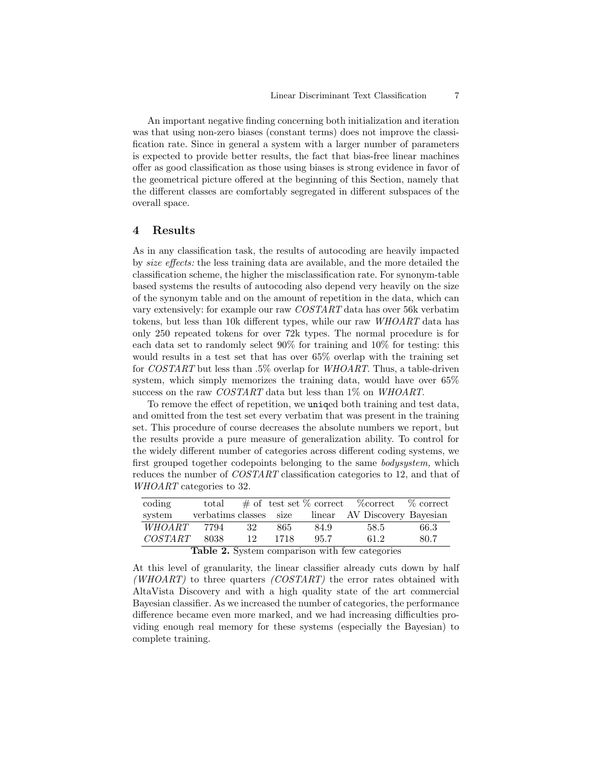An important negative finding concerning both initialization and iteration was that using non-zero biases (constant terms) does not improve the classification rate. Since in general a system with a larger number of parameters is expected to provide better results, the fact that bias-free linear machines offer as good classification as those using biases is strong evidence in favor of the geometrical picture offered at the beginning of this Section, namely that the different classes are comfortably segregated in different subspaces of the overall space.

## 4 Results

As in any classification task, the results of autocoding are heavily impacted by size effects: the less training data are available, and the more detailed the classification scheme, the higher the misclassification rate. For synonym-table based systems the results of autocoding also depend very heavily on the size of the synonym table and on the amount of repetition in the data, which can vary extensively: for example our raw COSTART data has over 56k verbatim tokens, but less than 10k different types, while our raw WHOART data has only 250 repeated tokens for over 72k types. The normal procedure is for each data set to randomly select 90% for training and 10% for testing: this would results in a test set that has over 65% overlap with the training set for COSTART but less than .5% overlap for WHOART. Thus, a table-driven system, which simply memorizes the training data, would have over 65% success on the raw COSTART data but less than 1% on WHOART.

To remove the effect of repetition, we uniqed both training and test data, and omitted from the test set every verbatim that was present in the training set. This procedure of course decreases the absolute numbers we report, but the results provide a pure measure of generalization ability. To control for the widely different number of categories across different coding systems, we first grouped together codepoints belonging to the same bodysystem, which reduces the number of COSTART classification categories to 12, and that of WHOART categories to 32.

| coding                                         | total                  |      |         |      | $\#$ of test set % correct % correct % correct |      |  |
|------------------------------------------------|------------------------|------|---------|------|------------------------------------------------|------|--|
| system                                         | verbatims classes size |      |         |      | linear AV Discovery Bayesian                   |      |  |
| <i>WHOART</i>                                  | 7794                   | - 32 | 865     | 84.9 | 58.5                                           | 66.3 |  |
| <i>COSTART</i>                                 | 8038                   |      | 12 1718 | 95.7 | 61.2                                           | 80.7 |  |
| Table 2. System comparison with few categories |                        |      |         |      |                                                |      |  |

At this level of granularity, the linear classifier already cuts down by half (WHOART) to three quarters (COSTART) the error rates obtained with AltaVista Discovery and with a high quality state of the art commercial Bayesian classifier. As we increased the number of categories, the performance difference became even more marked, and we had increasing difficulties providing enough real memory for these systems (especially the Bayesian) to complete training.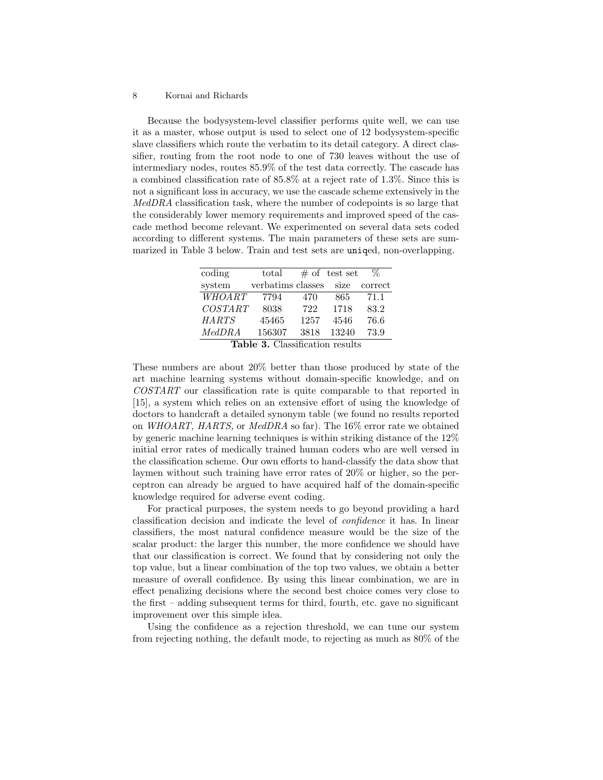Because the bodysystem-level classifier performs quite well, we can use it as a master, whose output is used to select one of 12 bodysystem-specific slave classifiers which route the verbatim to its detail category. A direct classifier, routing from the root node to one of 730 leaves without the use of intermediary nodes, routes 85.9% of the test data correctly. The cascade has a combined classification rate of 85.8% at a reject rate of 1.3%. Since this is not a significant loss in accuracy, we use the cascade scheme extensively in the MedDRA classification task, where the number of codepoints is so large that the considerably lower memory requirements and improved speed of the cascade method become relevant. We experimented on several data sets coded according to different systems. The main parameters of these sets are summarized in Table 3 below. Train and test sets are uniqed, non-overlapping.

| coding       | $_{\rm total}$    |         | $#$ of test set | Z.      |
|--------------|-------------------|---------|-----------------|---------|
| system       | verbatims classes |         | size            | correct |
| WHOART       | 7794              | 470     | 865             | 71.1    |
| COSTART      | 8038              | 722     | 1718            | 83.2    |
| <b>HARTS</b> | 45465             | 1257    | 4546            | 76.6    |
| MedDRA       | 156307            | 3818    | 13240           | 73.9    |
| л.<br>$\sim$ | $\sim$ $\sim$     | $\cdot$ |                 |         |

Table 3. Classification results

These numbers are about 20% better than those produced by state of the art machine learning systems without domain-specific knowledge, and on COSTART our classification rate is quite comparable to that reported in [15], a system which relies on an extensive effort of using the knowledge of doctors to handcraft a detailed synonym table (we found no results reported on WHOART, HARTS, or MedDRA so far). The 16% error rate we obtained by generic machine learning techniques is within striking distance of the 12% initial error rates of medically trained human coders who are well versed in the classification scheme. Our own efforts to hand-classify the data show that laymen without such training have error rates of 20% or higher, so the perceptron can already be argued to have acquired half of the domain-specific knowledge required for adverse event coding.

For practical purposes, the system needs to go beyond providing a hard classification decision and indicate the level of confidence it has. In linear classifiers, the most natural confidence measure would be the size of the scalar product: the larger this number, the more confidence we should have that our classification is correct. We found that by considering not only the top value, but a linear combination of the top two values, we obtain a better measure of overall confidence. By using this linear combination, we are in effect penalizing decisions where the second best choice comes very close to the first – adding subsequent terms for third, fourth, etc. gave no significant improvement over this simple idea.

Using the confidence as a rejection threshold, we can tune our system from rejecting nothing, the default mode, to rejecting as much as 80% of the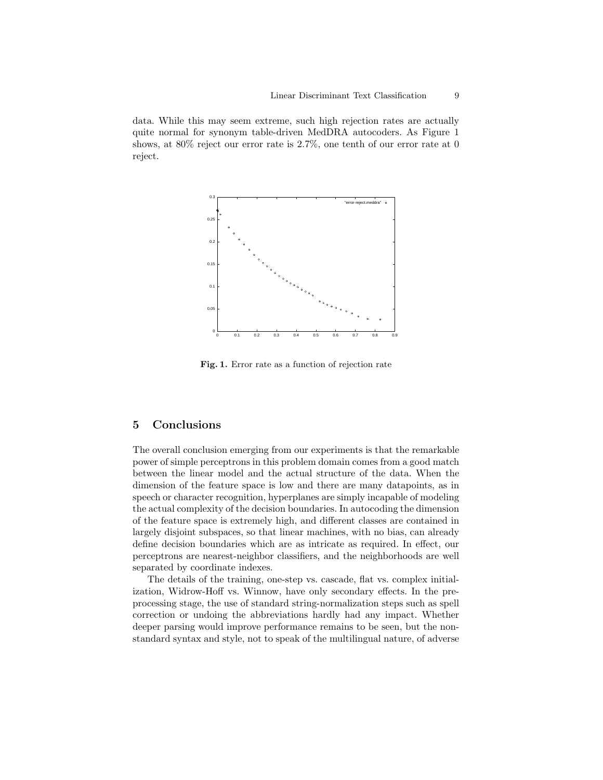data. While this may seem extreme, such high rejection rates are actually quite normal for synonym table-driven MedDRA autocoders. As Figure 1 shows, at 80% reject our error rate is 2.7%, one tenth of our error rate at 0 reject.



Fig. 1. Error rate as a function of rejection rate

# 5 Conclusions

The overall conclusion emerging from our experiments is that the remarkable power of simple perceptrons in this problem domain comes from a good match between the linear model and the actual structure of the data. When the dimension of the feature space is low and there are many datapoints, as in speech or character recognition, hyperplanes are simply incapable of modeling the actual complexity of the decision boundaries. In autocoding the dimension of the feature space is extremely high, and different classes are contained in largely disjoint subspaces, so that linear machines, with no bias, can already define decision boundaries which are as intricate as required. In effect, our perceptrons are nearest-neighbor classifiers, and the neighborhoods are well separated by coordinate indexes.

The details of the training, one-step vs. cascade, flat vs. complex initialization, Widrow-Hoff vs. Winnow, have only secondary effects. In the preprocessing stage, the use of standard string-normalization steps such as spell correction or undoing the abbreviations hardly had any impact. Whether deeper parsing would improve performance remains to be seen, but the nonstandard syntax and style, not to speak of the multilingual nature, of adverse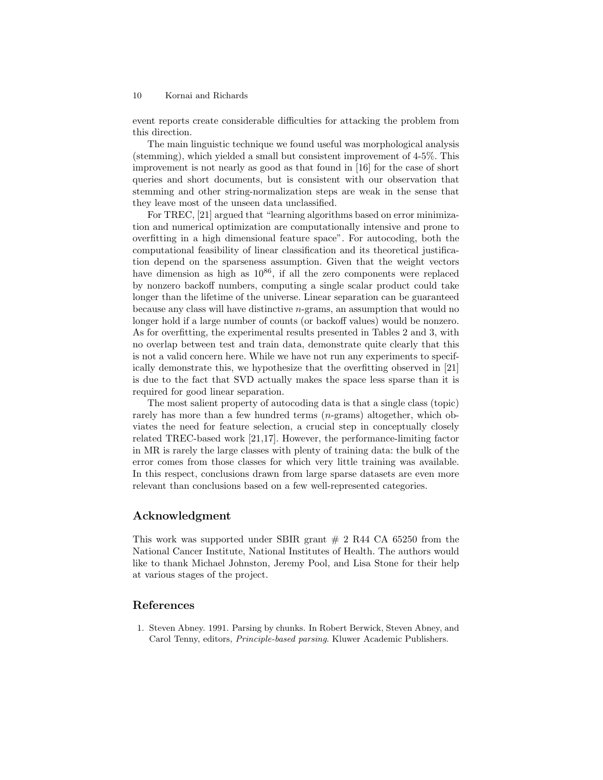event reports create considerable difficulties for attacking the problem from this direction.

The main linguistic technique we found useful was morphological analysis (stemming), which yielded a small but consistent improvement of 4-5%. This improvement is not nearly as good as that found in [16] for the case of short queries and short documents, but is consistent with our observation that stemming and other string-normalization steps are weak in the sense that they leave most of the unseen data unclassified.

For TREC, [21] argued that "learning algorithms based on error minimization and numerical optimization are computationally intensive and prone to overfitting in a high dimensional feature space". For autocoding, both the computational feasibility of linear classification and its theoretical justification depend on the sparseness assumption. Given that the weight vectors have dimension as high as  $10^{86}$ , if all the zero components were replaced by nonzero backoff numbers, computing a single scalar product could take longer than the lifetime of the universe. Linear separation can be guaranteed because any class will have distinctive n-grams, an assumption that would no longer hold if a large number of counts (or backoff values) would be nonzero. As for overfitting, the experimental results presented in Tables 2 and 3, with no overlap between test and train data, demonstrate quite clearly that this is not a valid concern here. While we have not run any experiments to specifically demonstrate this, we hypothesize that the overfitting observed in [21] is due to the fact that SVD actually makes the space less sparse than it is required for good linear separation.

The most salient property of autocoding data is that a single class (topic) rarely has more than a few hundred terms (*n*-grams) altogether, which obviates the need for feature selection, a crucial step in conceptually closely related TREC-based work [21,17]. However, the performance-limiting factor in MR is rarely the large classes with plenty of training data: the bulk of the error comes from those classes for which very little training was available. In this respect, conclusions drawn from large sparse datasets are even more relevant than conclusions based on a few well-represented categories.

## Acknowledgment

This work was supported under SBIR grant  $\#$  2 R44 CA 65250 from the National Cancer Institute, National Institutes of Health. The authors would like to thank Michael Johnston, Jeremy Pool, and Lisa Stone for their help at various stages of the project.

## References

1. Steven Abney. 1991. Parsing by chunks. In Robert Berwick, Steven Abney, and Carol Tenny, editors, Principle-based parsing. Kluwer Academic Publishers.